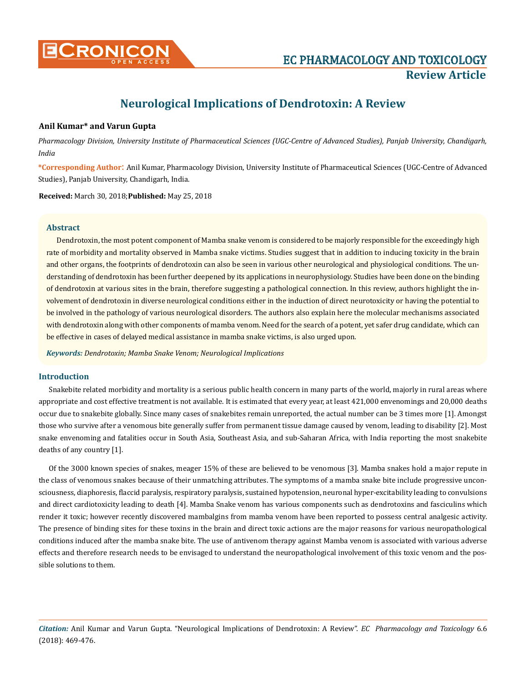

# **Neurological Implications of Dendrotoxin: A Review**

# **Anil Kumar\* and Varun Gupta**

*Pharmacology Division, University Institute of Pharmaceutical Sciences (UGC-Centre of Advanced Studies), Panjab University, Chandigarh, India*

**\*Corresponding Author**: Anil Kumar, Pharmacology Division, University Institute of Pharmaceutical Sciences (UGC-Centre of Advanced Studies), Panjab University, Chandigarh, India.

**Received:** March 30, 2018;**Published:** May 25, 2018

# **Abstract**

Dendrotoxin, the most potent component of Mamba snake venom is considered to be majorly responsible for the exceedingly high rate of morbidity and mortality observed in Mamba snake victims. Studies suggest that in addition to inducing toxicity in the brain and other organs, the footprints of dendrotoxin can also be seen in various other neurological and physiological conditions. The understanding of dendrotoxin has been further deepened by its applications in neurophysiology. Studies have been done on the binding of dendrotoxin at various sites in the brain, therefore suggesting a pathological connection. In this review, authors highlight the involvement of dendrotoxin in diverse neurological conditions either in the induction of direct neurotoxicity or having the potential to be involved in the pathology of various neurological disorders. The authors also explain here the molecular mechanisms associated with dendrotoxin along with other components of mamba venom. Need for the search of a potent, yet safer drug candidate, which can be effective in cases of delayed medical assistance in mamba snake victims, is also urged upon.

*Keywords: Dendrotoxin; Mamba Snake Venom; Neurological Implications*

# **Introduction**

Snakebite related morbidity and mortality is a serious public health concern in many parts of the world, majorly in rural areas where appropriate and cost effective treatment is not available. It is estimated that every year, at least 421,000 envenomings and 20,000 deaths occur due to snakebite globally. Since many cases of snakebites remain unreported, the actual number can be 3 times more [1]. Amongst those who survive after a venomous bite generally suffer from permanent tissue damage caused by venom, leading to disability [2]. Most snake envenoming and fatalities occur in South Asia, Southeast Asia, and sub-Saharan Africa, with India reporting the most snakebite deaths of any country [1].

Of the 3000 known species of snakes, meager 15% of these are believed to be venomous [3]. Mamba snakes hold a major repute in the class of venomous snakes because of their unmatching attributes. The symptoms of a mamba snake bite include progressive unconsciousness, diaphoresis, flaccid paralysis, respiratory paralysis, sustained hypotension, neuronal hyper-excitability leading to convulsions and direct cardiotoxicity leading to death [4]. Mamba Snake venom has various components such as dendrotoxins and fasciculins which render it toxic; however recently discovered mambalgins from mamba venom have been reported to possess central analgesic activity. The presence of binding sites for these toxins in the brain and direct toxic actions are the major reasons for various neuropathological conditions induced after the mamba snake bite. The use of antivenom therapy against Mamba venom is associated with various adverse effects and therefore research needs to be envisaged to understand the neuropathological involvement of this toxic venom and the possible solutions to them.

*Citation:* Anil Kumar and Varun Gupta. "Neurological Implications of Dendrotoxin: A Review". *EC Pharmacology and Toxicology* 6.6 (2018): 469-476.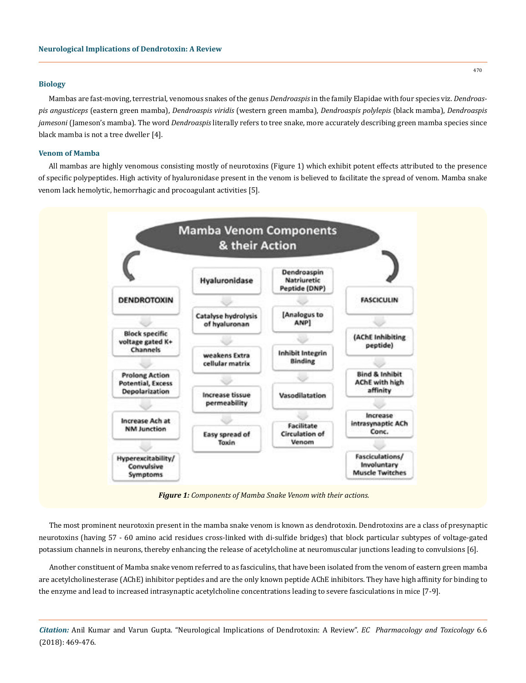### **Biology**

Mambas are fast-moving, terrestrial, venomous snakes of the genus *Dendroaspis* in the family Elapidae with four species viz. *Dendroaspis angusticeps* (eastern green mamba), *Dendroaspis viridis* (western green mamba), *Dendroaspis polylepis* (black mamba), *Dendroaspis jamesoni* (Jameson's mamba). The word *Dendroaspis* literally refers to tree snake, more accurately describing green mamba species since black mamba is not a tree dweller [4].

# **Venom of Mamba**

All mambas are highly venomous consisting mostly of neurotoxins (Figure 1) which exhibit potent effects attributed to the presence of specific polypeptides. High activity of hyaluronidase present in the venom is believed to facilitate the spread of venom. Mamba snake venom lack hemolytic, hemorrhagic and procoagulant activities [5].



*Figure 1: Components of Mamba Snake Venom with their actions.*

The most prominent neurotoxin present in the mamba snake venom is known as dendrotoxin. Dendrotoxins are a class of presynaptic neurotoxins (having 57 - 60 amino acid residues cross-linked with di-sulfide bridges) that block particular subtypes of voltage-gated potassium channels in neurons, thereby enhancing the release of acetylcholine at neuromuscular junctions leading to convulsions [6].

Another constituent of Mamba snake venom referred to as fasciculins, that have been isolated from the venom of eastern green mamba are acetylcholinesterase (AChE) inhibitor peptides and are the only known peptide AChE inhibitors. They have high affinity for binding to the enzyme and lead to increased intrasynaptic acetylcholine concentrations leading to severe fasciculations in mice [7-9].

*Citation:* Anil Kumar and Varun Gupta. "Neurological Implications of Dendrotoxin: A Review". *EC Pharmacology and Toxicology* 6.6 (2018): 469-476.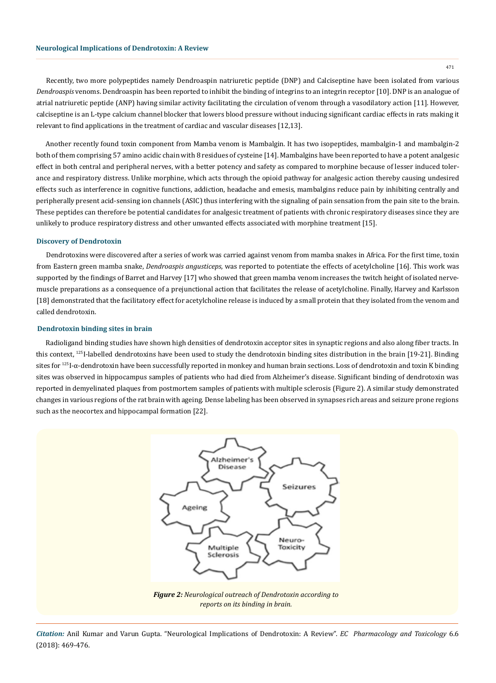471

Recently, two more polypeptides namely Dendroaspin natriuretic peptide (DNP) and Calciseptine have been isolated from various *Dendroaspis* venoms. Dendroaspin has been reported to inhibit the binding of integrins to an integrin receptor [10]. DNP is an analogue of atrial natriuretic peptide (ANP) having similar activity facilitating the circulation of venom through a vasodilatory action [11]. However, calciseptine is an L-type calcium channel blocker that lowers blood pressure without inducing significant cardiac effects in rats making it relevant to find applications in the treatment of cardiac and vascular diseases [12,13].

Another recently found toxin component from Mamba venom is Mambalgin. It has two isopeptides, mambalgin-1 and mambalgin-2 both of them comprising 57 amino acidic chain with 8 residues of cysteine [14]. Mambalgins have been reported to have a potent analgesic effect in both central and peripheral nerves, with a better potency and safety as compared to morphine because of lesser induced tolerance and respiratory distress. Unlike morphine, which acts through the opioid pathway for analgesic action thereby causing undesired effects such as interference in cognitive functions, addiction, headache and emesis, mambalgins reduce pain by inhibiting centrally and peripherally present acid-sensing ion channels (ASIC) thus interfering with the signaling of pain sensation from the pain site to the brain. These peptides can therefore be potential candidates for analgesic treatment of patients with chronic respiratory diseases since they are unlikely to produce respiratory distress and other unwanted effects associated with morphine treatment [15].

## **Discovery of Dendrotoxin**

Dendrotoxins were discovered after a series of work was carried against venom from mamba snakes in Africa. For the first time, toxin from Eastern green mamba snake, *Dendroaspis angusticeps*, was reported to potentiate the effects of acetylcholine [16]. This work was supported by the findings of Barret and Harvey [17] who showed that green mamba venom increases the twitch height of isolated nervemuscle preparations as a consequence of a prejunctional action that facilitates the release of acetylcholine. Finally, Harvey and Karlsson [18] demonstrated that the facilitatory effect for acetylcholine release is induced by a small protein that they isolated from the venom and called dendrotoxin.

## **Dendrotoxin binding sites in brain**

Radioligand binding studies have shown high densities of dendrotoxin acceptor sites in synaptic regions and also along fiber tracts. In this context, <sup>125</sup>I-labelled dendrotoxins have been used to study the dendrotoxin binding sites distribution in the brain [19-21]. Binding sites for <sup>125</sup>I-α-dendrotoxin have been successfully reported in monkey and human brain sections. Loss of dendrotoxin and toxin K binding sites was observed in hippocampus samples of patients who had died from Alzheimer's disease. Significant binding of dendrotoxin was reported in demyelinated plaques from postmortem samples of patients with multiple sclerosis (Figure 2). A similar study demonstrated changes in various regions of the rat brain with ageing. Dense labeling has been observed in synapses rich areas and seizure prone regions such as the neocortex and hippocampal formation [22].



*Figure 2: Neurological outreach of Dendrotoxin according to reports on its binding in brain.*

*Citation:* Anil Kumar and Varun Gupta. "Neurological Implications of Dendrotoxin: A Review". *EC Pharmacology and Toxicology* 6.6 (2018): 469-476.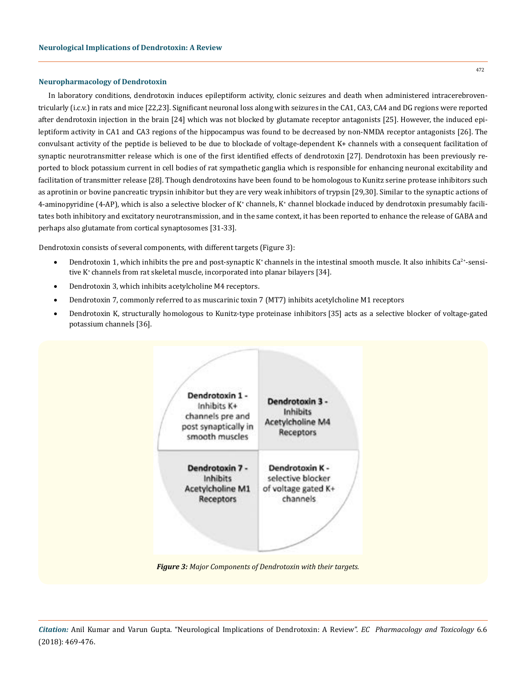## **Neuropharmacology of Dendrotoxin**

In laboratory conditions, dendrotoxin induces epileptiform activity, clonic seizures and death when administered intracerebroventricularly (i.c.v.) in rats and mice [22,23]. Significant neuronal loss along with seizures in the CA1, CA3, CA4 and DG regions were reported after dendrotoxin injection in the brain [24] which was not blocked by glutamate receptor antagonists [25]. However, the induced epileptiform activity in CA1 and CA3 regions of the hippocampus was found to be decreased by non-NMDA receptor antagonists [26]. The convulsant activity of the peptide is believed to be due to blockade of voltage-dependent K+ channels with a consequent facilitation of synaptic neurotransmitter release which is one of the first identified effects of dendrotoxin [27]. Dendrotoxin has been previously reported to block potassium current in cell bodies of rat sympathetic ganglia which is responsible for enhancing neuronal excitability and facilitation of transmitter release [28]. Though dendrotoxins have been found to be homologous to Kunitz serine protease inhibitors such as aprotinin or bovine pancreatic trypsin inhibitor but they are very weak inhibitors of trypsin [29,30]. Similar to the synaptic actions of 4-aminopyridine (4-AP), which is also a selective blocker of K\* channels, K\* channel blockade induced by dendrotoxin presumably facilitates both inhibitory and excitatory neurotransmission, and in the same context, it has been reported to enhance the release of GABA and perhaps also glutamate from cortical synaptosomes [31-33].

Dendrotoxin consists of several components, with different targets (Figure 3):

- Dendrotoxin 1, which inhibits the pre and post-synaptic K<sup>+</sup> channels in the intestinal smooth muscle. It also inhibits  $Ca^{2+}$ -sensitive K<sup>+</sup> channels from rat skeletal muscle, incorporated into planar bilayers [34].
- Dendrotoxin 3, which inhibits acetylcholine M4 receptors.
- Dendrotoxin 7, commonly referred to as muscarinic toxin 7 (MT7) inhibits acetylcholine M1 receptors
- Dendrotoxin K, structurally homologous to Kunitz-type proteinase inhibitors [35] acts as a selective blocker of voltage-gated potassium channels [36].



*Figure 3: Major Components of Dendrotoxin with their targets.*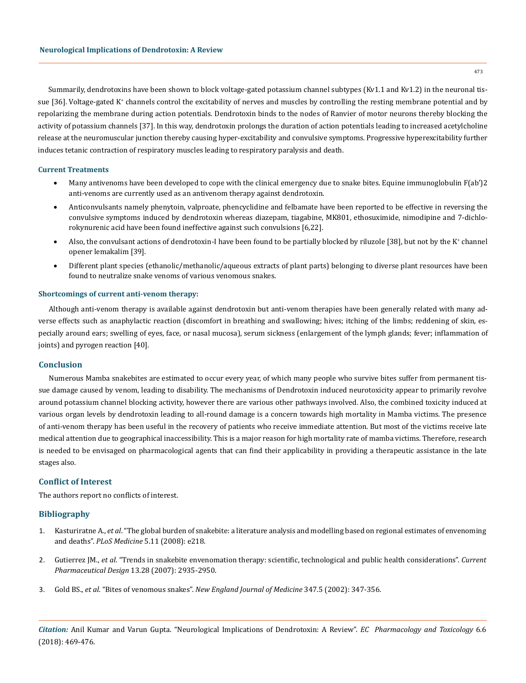Summarily, dendrotoxins have been shown to block voltage-gated potassium channel subtypes (Kv1.1 and Kv1.2) in the neuronal tissue [36]. Voltage-gated K\* channels control the excitability of nerves and muscles by controlling the resting membrane potential and by repolarizing the membrane during action potentials. Dendrotoxin binds to the nodes of Ranvier of motor neurons thereby blocking the activity of potassium channels [37]. In this way, dendrotoxin prolongs the duration of action potentials leading to increased acetylcholine release at the neuromuscular junction thereby causing hyper-excitability and convulsive symptoms. Progressive hyperexcitability further induces tetanic contraction of respiratory muscles leading to respiratory paralysis and death.

## **Current Treatments**

- Many antivenoms have been developed to cope with the clinical emergency due to snake bites. Equine immunoglobulin F(ab')2 anti-venoms are currently used as an antivenom therapy against dendrotoxin.
- Anticonvulsants namely phenytoin, valproate, phencyclidine and felbamate have been reported to be effective in reversing the convulsive symptoms induced by dendrotoxin whereas diazepam, tiagabine, MK801, ethosuximide, nimodipine and 7-dichlorokynurenic acid have been found ineffective against such convulsions [6,22].
- Also, the convulsant actions of dendrotoxin-I have been found to be partially blocked by riluzole [38], but not by the K<sup>+</sup> channel opener lemakalim [39].
- Different plant species (ethanolic/methanolic/aqueous extracts of plant parts) belonging to diverse plant resources have been found to neutralize snake venoms of various venomous snakes.

# **Shortcomings of current anti-venom therapy:**

Although anti-venom therapy is available against dendrotoxin but anti-venom therapies have been generally related with many adverse effects such as anaphylactic reaction (discomfort in breathing and swallowing; hives; itching of the limbs; reddening of skin, especially around ears; swelling of eyes, face, or nasal mucosa), serum sickness (enlargement of the lymph glands; fever; inflammation of joints) and pyrogen reaction [40].

### **Conclusion**

Numerous Mamba snakebites are estimated to occur every year, of which many people who survive bites suffer from permanent tissue damage caused by venom, leading to disability. The mechanisms of Dendrotoxin induced neurotoxicity appear to primarily revolve around potassium channel blocking activity, however there are various other pathways involved. Also, the combined toxicity induced at various organ levels by dendrotoxin leading to all-round damage is a concern towards high mortality in Mamba victims. The presence of anti-venom therapy has been useful in the recovery of patients who receive immediate attention. But most of the victims receive late medical attention due to geographical inaccessibility. This is a major reason for high mortality rate of mamba victims. Therefore, research is needed to be envisaged on pharmacological agents that can find their applicability in providing a therapeutic assistance in the late stages also.

### **Conflict of Interest**

The authors report no conflicts of interest.

# **Bibliography**

- 1. Kasturiratne A., *et al*[. "The global burden of snakebite: a literature analysis and modelling based on regional estimates of envenoming](https://www.ncbi.nlm.nih.gov/pubmed/18986210) and deaths". *PLoS Medicine* [5.11 \(2008\): e218.](https://www.ncbi.nlm.nih.gov/pubmed/18986210)
- 2. Gutierrez JM., *et al*[. "Trends in snakebite envenomation therapy: scientific, technological and public health considerations".](https://www.ncbi.nlm.nih.gov/pubmed/17979738) *Current Pharmaceutical Design* [13.28 \(2007\): 2935-2950.](https://www.ncbi.nlm.nih.gov/pubmed/17979738)
- 3. Gold BS., *et al*. "Bites of venomous snakes". *[New England Journal of Medicine](https://www.ncbi.nlm.nih.gov/pubmed/12151473)* 347.5 (2002): 347-356.

*Citation:* Anil Kumar and Varun Gupta. "Neurological Implications of Dendrotoxin: A Review". *EC Pharmacology and Toxicology* 6.6 (2018): 469-476.

473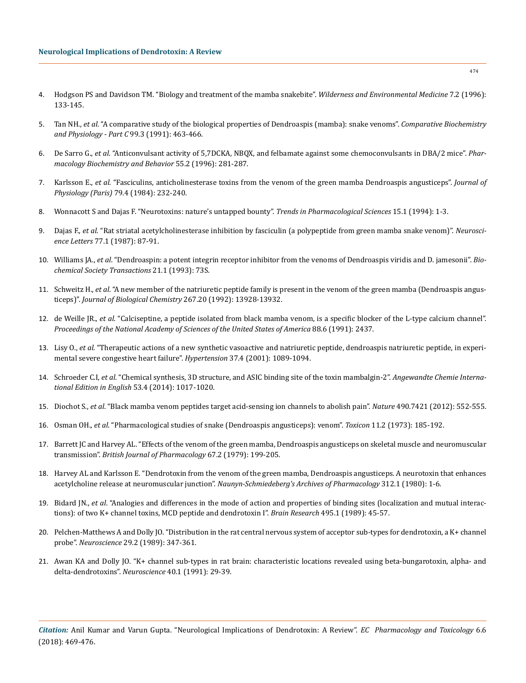- 4. [Hodgson PS and Davidson TM. "Biology and treatment of the mamba snakebite".](https://www.ncbi.nlm.nih.gov/pubmed/11990107) *Wilderness and Environmental Medicine* 7.2 (1996): [133-145.](https://www.ncbi.nlm.nih.gov/pubmed/11990107)
- 5. Tan NH., *et al*[. "A comparative study of the biological properties of Dendroaspis \(mamba\): snake venoms".](https://www.ncbi.nlm.nih.gov/pubmed/1685421) *Comparative Biochemistry [and Physiology - Part C](https://www.ncbi.nlm.nih.gov/pubmed/1685421)* 99.3 (1991): 463-466.
- 6. De Sarro G., *et al*[. "Anticonvulsant activity of 5,7DCKA, NBQX, and felbamate against some chemoconvulsants in DBA/2 mice".](https://www.ncbi.nlm.nih.gov/pubmed/8951966) *Phar[macology Biochemistry and Behavior](https://www.ncbi.nlm.nih.gov/pubmed/8951966)* 55.2 (1996): 281-287.
- 7. Karlsson E., *et al*[. "Fasciculins, anticholinesterase toxins from the venom of the green mamba Dendroaspis angusticeps".](https://www.ncbi.nlm.nih.gov/pubmed/6530667) *Journal of Physiology (Paris)* [79.4 \(1984\): 232-240.](https://www.ncbi.nlm.nih.gov/pubmed/6530667)
- 8. [Wonnacott S and Dajas F. "Neurotoxins: nature's untapped bounty".](https://www.ncbi.nlm.nih.gov/pubmed/8140650) *Trends in Pharmacological Sciences* 15.1 (1994): 1-3.
- 9. Dajas F., *et al*[. "Rat striatal acetylcholinesterase inhibition by fasciculin \(a polypeptide from green mamba snake venom\)".](https://www.ncbi.nlm.nih.gov/pubmed/3601220) *Neuroscience Letters* [77.1 \(1987\): 87-91.](https://www.ncbi.nlm.nih.gov/pubmed/3601220)
- 10. Williams JA., *et al*[. "Dendroaspin: a potent integrin receptor inhibitor from the venoms of Dendroaspis viridis and D. jamesonii".](https://www.ncbi.nlm.nih.gov/pubmed/8449356) *Bio[chemical Society Transactions](https://www.ncbi.nlm.nih.gov/pubmed/8449356)* 21.1 (1993): 73S.
- 11. Schweitz H., *et al*[. "A new member of the natriuretic peptide family is present in the venom of the green mamba \(Dendroaspis angus](https://www.ncbi.nlm.nih.gov/pubmed/1352773)ticeps)". *[Journal of Biological Chemistry](https://www.ncbi.nlm.nih.gov/pubmed/1352773)* 267.20 (1992): 13928-13932.
- 12. de Weille JR., *et al*[. "Calciseptine, a peptide isolated from black mamba venom, is a specific blocker of the L-type calcium channel".](https://www.ncbi.nlm.nih.gov/pubmed/1848702) *[Proceedings of the National Academy of Sciences of the United States of America](https://www.ncbi.nlm.nih.gov/pubmed/1848702)* 88.6 (1991): 2437.
- 13. Lisy O., *et al*[. "Therapeutic actions of a new synthetic vasoactive and natriuretic peptide, dendroaspis natriuretic peptide, in experi](https://www.ncbi.nlm.nih.gov/pubmed/11304508)[mental severe congestive heart failure".](https://www.ncbi.nlm.nih.gov/pubmed/11304508) *Hypertension* 37.4 (2001): 1089-1094.
- 14. Schroeder C.I, *et al*[. "Chemical synthesis, 3D structure, and ASIC binding site of the toxin mambalgin-2".](https://www.ncbi.nlm.nih.gov/pubmed/24323786) *Angewandte Chemie Interna[tional Edition in English](https://www.ncbi.nlm.nih.gov/pubmed/24323786)* 53.4 (2014): 1017-1020.
- 15. Diochot S., *et al*[. "Black mamba venom peptides target acid-sensing ion channels to abolish pain".](https://www.ncbi.nlm.nih.gov/pubmed/23034652) *Nature* 490.7421 (2012): 552-555.
- 16. Osman OH., *et al*[. "Pharmacological studies of snake \(Dendroaspis angusticeps\): venom".](https://www.ncbi.nlm.nih.gov/pubmed/4146018) *Toxicon* 11.2 (1973): 185-192.
- 17. [Barrett JC and Harvey AL. "Effects of the venom of the green mamba, Dendroaspis angusticeps on skeletal muscle and neuromuscular](https://www.ncbi.nlm.nih.gov/pmc/articles/PMC2043893/) transmission". *[British Journal of Pharmacology](https://www.ncbi.nlm.nih.gov/pmc/articles/PMC2043893/)* 67.2 (1979): 199-205.
- 18. [Harvey AL and Karlsson E. "Dendrotoxin from the venom of the green mamba, Dendroaspis angusticeps. A neurotoxin that enhances](https://www.ncbi.nlm.nih.gov/pubmed/7393344) acetylcholine release at neuromuscular junction". *[Naunyn-Schmiedeberg's Archives of Pharmacology](https://www.ncbi.nlm.nih.gov/pubmed/7393344)* 312.1 (1980): 1-6.
- 19. Bidard JN., *et al*[. "Analogies and differences in the mode of action and properties of binding sites \(localization and mutual interac](https://www.ncbi.nlm.nih.gov/pubmed/2550111)[tions\): of two K+ channel toxins, MCD peptide and dendrotoxin I".](https://www.ncbi.nlm.nih.gov/pubmed/2550111) *Brain Research* 495.1 (1989): 45-57.
- 20. [Pelchen-Matthews A and Dolly JO. "Distribution in the rat central nervous system of acceptor sub-types for dendrotoxin, a K+ channel](https://www.ncbi.nlm.nih.gov/pubmed/2725862) probe". *Neuroscience* [29.2 \(1989\): 347-361.](https://www.ncbi.nlm.nih.gov/pubmed/2725862)
- 21. [Awan KA and Dolly JO. "K+ channel sub-types in rat brain: characteristic locations revealed using beta-bungarotoxin, alpha- and](https://www.ncbi.nlm.nih.gov/pubmed/1646975) [delta-dendrotoxins".](https://www.ncbi.nlm.nih.gov/pubmed/1646975) *Neuroscience* 40.1 (1991): 29-39.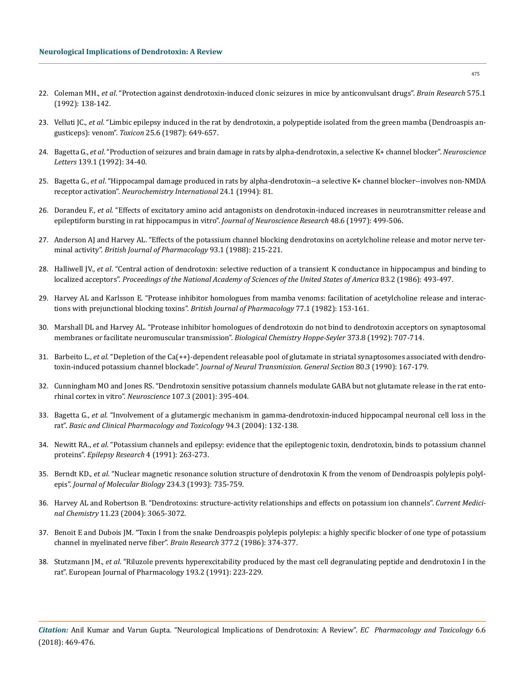- 22. Coleman MH., *et al*[. "Protection against dendrotoxin-induced clonic seizures in mice by anticonvulsant drugs".](https://www.ncbi.nlm.nih.gov/pubmed/1504773) *Brain Research* 575.1 [\(1992\): 138-142.](https://www.ncbi.nlm.nih.gov/pubmed/1504773)
- 23. Velluti JC., *et al*[. "Limbic epilepsy induced in the rat by dendrotoxin, a polypeptide isolated from the green mamba \(Dendroaspis an](https://www.ncbi.nlm.nih.gov/pubmed/3629616)gusticeps): venom". *Toxicon* [25.6 \(1987\): 649-657.](https://www.ncbi.nlm.nih.gov/pubmed/3629616)
- 24. Bagetta G., *et al*[. "Production of seizures and brain damage in rats by alpha-dendrotoxin, a selective K+ channel blocker".](https://www.ncbi.nlm.nih.gov/pubmed/1357602) *Neuroscience Letters* [139.1 \(1992\): 34-40.](https://www.ncbi.nlm.nih.gov/pubmed/1357602)
- 25. Bagetta G., *et al*[. "Hippocampal damage produced in rats by alpha-dendrotoxin--a selective K+ channel blocker--involves non-NMDA](https://www.ncbi.nlm.nih.gov/pubmed/8130739)  receptor activation". *[Neurochemistry International](https://www.ncbi.nlm.nih.gov/pubmed/8130739)* 24.1 (1994): 81.
- 26. Dorandeu F., *et al*[. "Effects of excitatory amino acid antagonists on dendrotoxin-induced increases in neurotransmitter release and](https://www.ncbi.nlm.nih.gov/pubmed/9210519)  [epileptiform bursting in rat hippocampus in vitro".](https://www.ncbi.nlm.nih.gov/pubmed/9210519) *Journal of Neuroscience Research* 48.6 (1997): 499-506.
- 27. [Anderson AJ and Harvey AL. "Effects of the potassium channel blocking dendrotoxins on acetylcholine release and motor nerve ter](https://www.ncbi.nlm.nih.gov/pubmed/2450611)minal activity". *[British Journal of Pharmacology](https://www.ncbi.nlm.nih.gov/pubmed/2450611)* 93.1 (1988): 215-221.
- 28. Halliwell JV., *et al*[. "Central action of dendrotoxin: selective reduction of a transient K conductance in hippocampus and binding to](https://www.ncbi.nlm.nih.gov/pubmed/2417246)  localized acceptors". *[Proceedings of the National Academy of Sciences of the United States of America](https://www.ncbi.nlm.nih.gov/pubmed/2417246)* 83.2 (1986): 493-497.
- 29. [Harvey AL and Karlsson E. "Protease inhibitor homologues from mamba venoms: facilitation of acetylcholine release and interac](https://www.ncbi.nlm.nih.gov/pubmed/6751453)[tions with prejunctional blocking toxins".](https://www.ncbi.nlm.nih.gov/pubmed/6751453) *British Journal of Pharmacology* 77.1 (1982): 153-161.
- 30. [Marshall DL and Harvey AL. "Protease inhibitor homologues of dendrotoxin do not bind to dendrotoxin acceptors on synaptosomal](https://www.ncbi.nlm.nih.gov/pubmed/1329839)  [membranes or facilitate neuromuscular transmission".](https://www.ncbi.nlm.nih.gov/pubmed/1329839) *Biological Chemistry Hoppe-Seyler* 373.8 (1992): 707-714.
- 31. Barbeito L., *et al*[. "Depletion of the Ca\(++\)-dependent releasable pool of glutamate in striatal synaptosomes associated with dendro](https://www.ncbi.nlm.nih.gov/pubmed/1970482)toxin-induced potassium channel blockade". *[Journal of Neural Transmission. General Section](https://www.ncbi.nlm.nih.gov/pubmed/1970482)* 80.3 (1990): 167-179.
- 32. [Cunningham MO and Jones RS. "Dendrotoxin sensitive potassium channels modulate GABA but not glutamate release in the rat ento](https://www.ncbi.nlm.nih.gov/pubmed/11718995)rhinal cortex in vitro". *Neuroscience* [107.3 \(2001\): 395-404.](https://www.ncbi.nlm.nih.gov/pubmed/11718995)
- 33. Bagetta G., *et al*[. "Involvement of a glutamergic mechanism in gamma-dendrotoxin-induced hippocampal neuronal cell loss in the](https://www.ncbi.nlm.nih.gov/pubmed/15052999)  rat". *[Basic and Clinical Pharmacology and Toxicology](https://www.ncbi.nlm.nih.gov/pubmed/15052999)* 94.3 (2004): 132-138.
- 34. Newitt RA., *et al*[. "Potassium channels and epilepsy: evidence that the epileptogenic toxin, dendrotoxin, binds to potassium channel](https://www.ncbi.nlm.nih.gov/pubmed/1815606)  proteins". *[Epilepsy Research](https://www.ncbi.nlm.nih.gov/pubmed/1815606)* 4 (1991): 263-273.
- 35. Berndt KD., *et al*[. "Nuclear magnetic resonance solution structure of dendrotoxin K from the venom of Dendroaspis polylepis polyl](https://www.ncbi.nlm.nih.gov/pubmed/8254670)epis". *[Journal of Molecular Biology](https://www.ncbi.nlm.nih.gov/pubmed/8254670)* 234.3 (1993): 735-759.
- 36. [Harvey AL and Robertson B. "Dendrotoxins: structure-activity relationships and effects on potassium ion channels".](https://www.ncbi.nlm.nih.gov/pubmed/15579000) *Current Medicinal Chemistry* [11.23 \(2004\): 3065-3072.](https://www.ncbi.nlm.nih.gov/pubmed/15579000)
- 37. [Benoit E and Dubois JM. "Toxin I from the snake Dendroaspis polylepis polylepis: a highly specific blocker of one type of potassium](https://www.ncbi.nlm.nih.gov/pubmed/2425902)  [channel in myelinated nerve fiber".](https://www.ncbi.nlm.nih.gov/pubmed/2425902) *Brain Research* 377.2 (1986): 374-377.
- 38. Stutzmann JM., *et al*[. "Riluzole prevents hyperexcitability produced by the mast cell degranulating peptide and dendrotoxin I in the](https://www.ncbi.nlm.nih.gov/pubmed/2050198)  [rat". European Journal of Pharmacology 193.2 \(1991\): 223-229.](https://www.ncbi.nlm.nih.gov/pubmed/2050198)